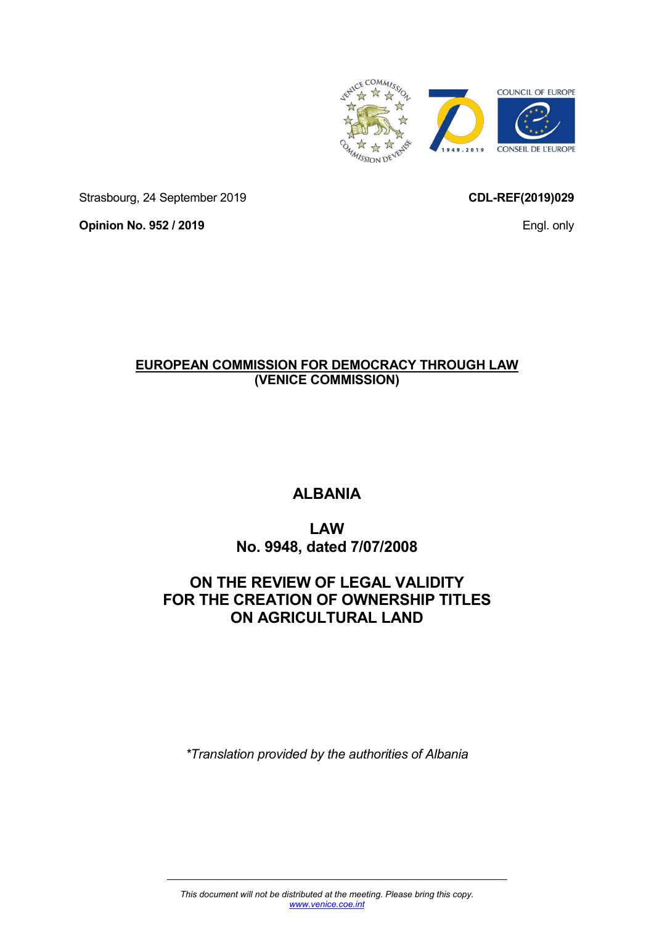

Strasbourg, 24 September 2019

**CDL-REF(2019)029** 

Engl. only

**Opinion No. 952 / 2019** 

# **EUROPEAN COMMISSION FOR DEMOCRACY THROUGH LAW (VENICE COMMISSION)**

# **ALBANIA**

# **LAW No. 9948, dated 7/07/2008**

# **ON THE REVIEW OF LEGAL VALIDITY FOR THE CREATION OF OWNERSHIP TITLES ON AGRICULTURAL LAND**

*\*Translation provided by the authorities of Albania*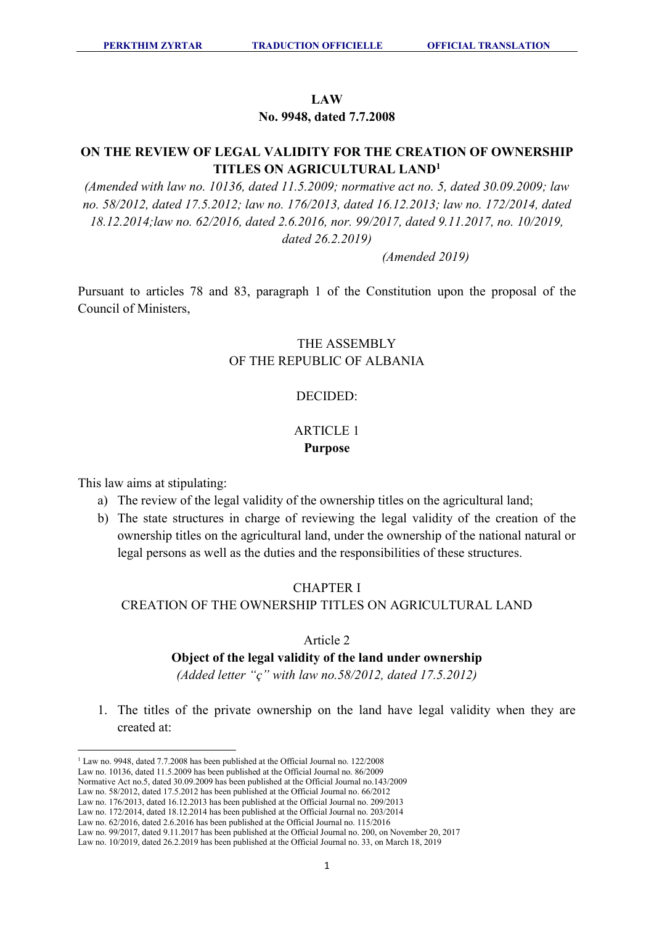### **LAW**

**No. 9948, dated 7.7.2008** 

# **ON THE REVIEW OF LEGAL VALIDITY FOR THE CREATION OF OWNERSHIP TITLES ON AGRICULTURAL LAND<sup>1</sup>**

*(Amended with law no. 10136, dated 11.5.2009; normative act no. 5, dated 30.09.2009; law no. 58/2012, dated 17.5.2012; law no. 176/2013, dated 16.12.2013; law no. 172/2014, dated 18.12.2014;law no. 62/2016, dated 2.6.2016, nor. 99/2017, dated 9.11.2017, no. 10/2019, dated 26.2.2019)* 

 *(Amended 2019)* 

Pursuant to articles 78 and 83, paragraph 1 of the Constitution upon the proposal of the Council of Ministers,

## THE ASSEMBLY OF THE REPUBLIC OF ALBANIA

### DECIDED:

### ARTICLE 1 **Purpose**

This law aims at stipulating:

 $\overline{a}$ 

- a) The review of the legal validity of the ownership titles on the agricultural land;
- b) The state structures in charge of reviewing the legal validity of the creation of the ownership titles on the agricultural land, under the ownership of the national natural or legal persons as well as the duties and the responsibilities of these structures.

### CHAPTER I

### CREATION OF THE OWNERSHIP TITLES ON AGRICULTURAL LAND

### Article 2

### **Object of the legal validity of the land under ownership**

*(Added letter "ç" with law no.58/2012, dated 17.5.2012)*

1. The titles of the private ownership on the land have legal validity when they are created at:

<sup>&</sup>lt;sup>1</sup> Law no. 9948, dated 7.7.2008 has been published at the Official Journal no. 122/2008

Law no. 10136, dated 11.5.2009 has been published at the Official Journal no. 86/2009

Normative Act no.5, dated 30.09.2009 has been published at the Official Journal no.143/2009 Law no. 58/2012, dated 17.5.2012 has been published at the Official Journal no. 66/2012

Law no. 176/2013, dated 16.12.2013 has been published at the Official Journal no. 209/2013

Law no. 172/2014, dated 18.12.2014 has been published at the Official Journal no. 203/2014

Law no. 62/2016, dated 2.6.2016 has been published at the Official Journal no. 115/2016

Law no. 99/2017, dated 9.11.2017 has been published at the Official Journal no. 200, on November 20, 2017

Law no. 10/2019, dated 26.2.2019 has been published at the Official Journal no. 33, on March 18, 2019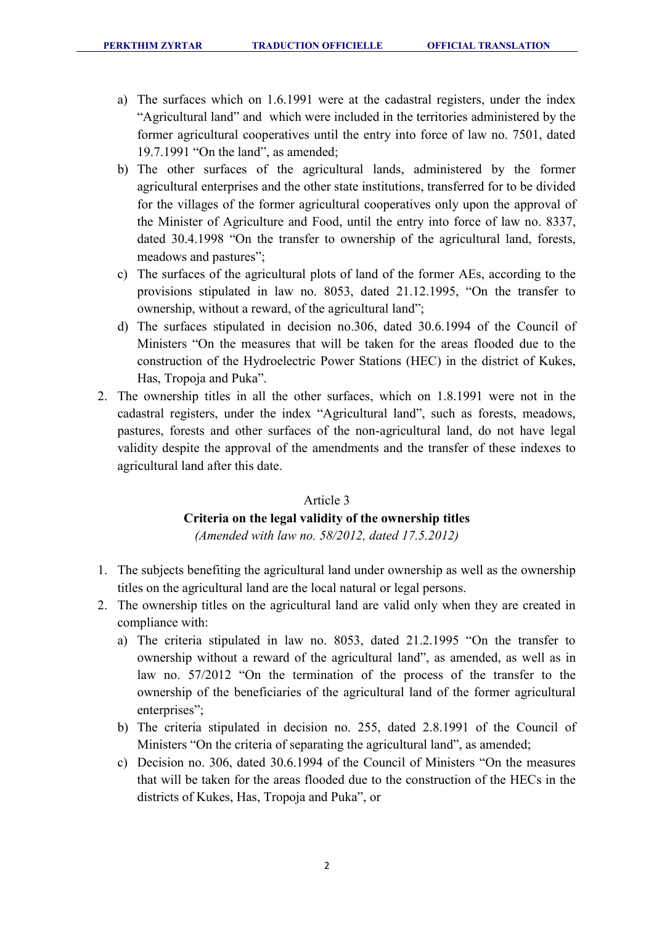- a) The surfaces which on 1.6.1991 were at the cadastral registers, under the index "Agricultural land" and which were included in the territories administered by the former agricultural cooperatives until the entry into force of law no. 7501, dated 19.7.1991 "On the land", as amended;
- b) The other surfaces of the agricultural lands, administered by the former agricultural enterprises and the other state institutions, transferred for to be divided for the villages of the former agricultural cooperatives only upon the approval of the Minister of Agriculture and Food, until the entry into force of law no. 8337, dated 30.4.1998 "On the transfer to ownership of the agricultural land, forests, meadows and pastures";
- c) The surfaces of the agricultural plots of land of the former AEs, according to the provisions stipulated in law no. 8053, dated 21.12.1995, "On the transfer to ownership, without a reward, of the agricultural land";
- d) The surfaces stipulated in decision no.306, dated 30.6.1994 of the Council of Ministers "On the measures that will be taken for the areas flooded due to the construction of the Hydroelectric Power Stations (HEC) in the district of Kukes, Has, Tropoja and Puka".
- 2. The ownership titles in all the other surfaces, which on 1.8.1991 were not in the cadastral registers, under the index "Agricultural land", such as forests, meadows, pastures, forests and other surfaces of the non-agricultural land, do not have legal validity despite the approval of the amendments and the transfer of these indexes to agricultural land after this date.

### Article 3

# **Criteria on the legal validity of the ownership titles**

*(Amended with law no. 58/2012, dated 17.5.2012)* 

- 1. The subjects benefiting the agricultural land under ownership as well as the ownership titles on the agricultural land are the local natural or legal persons.
- 2. The ownership titles on the agricultural land are valid only when they are created in compliance with:
	- a) The criteria stipulated in law no. 8053, dated 21.2.1995 "On the transfer to ownership without a reward of the agricultural land", as amended, as well as in law no. 57/2012 "On the termination of the process of the transfer to the ownership of the beneficiaries of the agricultural land of the former agricultural enterprises";
	- b) The criteria stipulated in decision no. 255, dated 2.8.1991 of the Council of Ministers "On the criteria of separating the agricultural land", as amended;
	- c) Decision no. 306, dated 30.6.1994 of the Council of Ministers "On the measures that will be taken for the areas flooded due to the construction of the HECs in the districts of Kukes, Has, Tropoja and Puka", or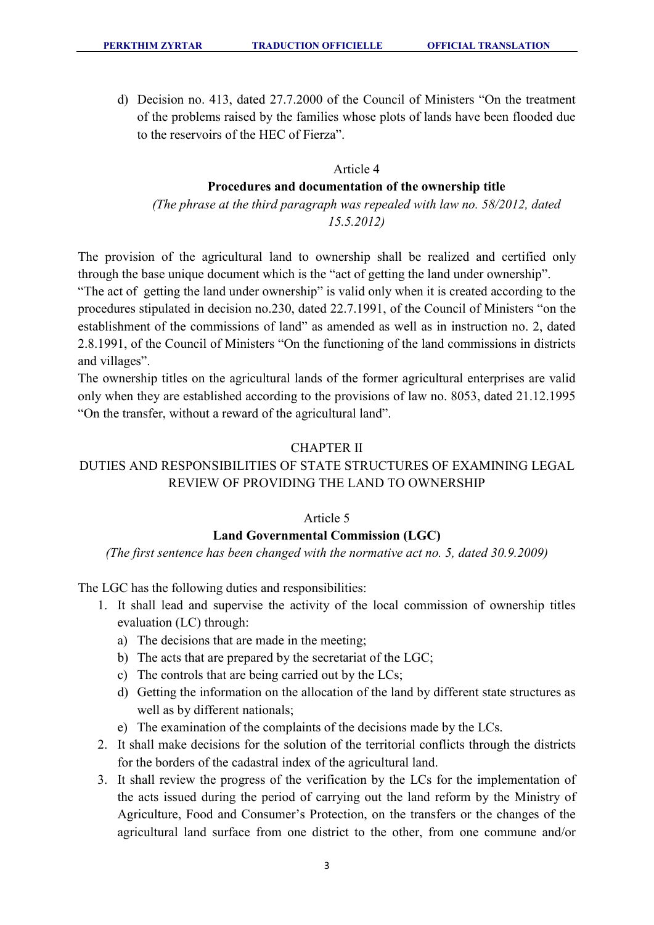d) Decision no. 413, dated 27.7.2000 of the Council of Ministers "On the treatment of the problems raised by the families whose plots of lands have been flooded due to the reservoirs of the HEC of Fierza".

## Article 4

### **Procedures and documentation of the ownership title**

*(The phrase at the third paragraph was repealed with law no. 58/2012, dated 15.5.2012)* 

The provision of the agricultural land to ownership shall be realized and certified only through the base unique document which is the "act of getting the land under ownership".

"The act of getting the land under ownership" is valid only when it is created according to the procedures stipulated in decision no.230, dated 22.7.1991, of the Council of Ministers "on the establishment of the commissions of land" as amended as well as in instruction no. 2, dated 2.8.1991, of the Council of Ministers "On the functioning of the land commissions in districts and villages".

The ownership titles on the agricultural lands of the former agricultural enterprises are valid only when they are established according to the provisions of law no. 8053, dated 21.12.1995 "On the transfer, without a reward of the agricultural land".

### CHAPTER II

# DUTIES AND RESPONSIBILITIES OF STATE STRUCTURES OF EXAMINING LEGAL REVIEW OF PROVIDING THE LAND TO OWNERSHIP

### Article 5

### **Land Governmental Commission (LGC)**

*(The first sentence has been changed with the normative act no. 5, dated 30.9.2009)* 

The LGC has the following duties and responsibilities:

- 1. It shall lead and supervise the activity of the local commission of ownership titles evaluation (LC) through:
	- a) The decisions that are made in the meeting;
	- b) The acts that are prepared by the secretariat of the LGC;
	- c) The controls that are being carried out by the LCs;
	- d) Getting the information on the allocation of the land by different state structures as well as by different nationals;
	- e) The examination of the complaints of the decisions made by the LCs.
- 2. It shall make decisions for the solution of the territorial conflicts through the districts for the borders of the cadastral index of the agricultural land.
- 3. It shall review the progress of the verification by the LCs for the implementation of the acts issued during the period of carrying out the land reform by the Ministry of Agriculture, Food and Consumer's Protection, on the transfers or the changes of the agricultural land surface from one district to the other, from one commune and/or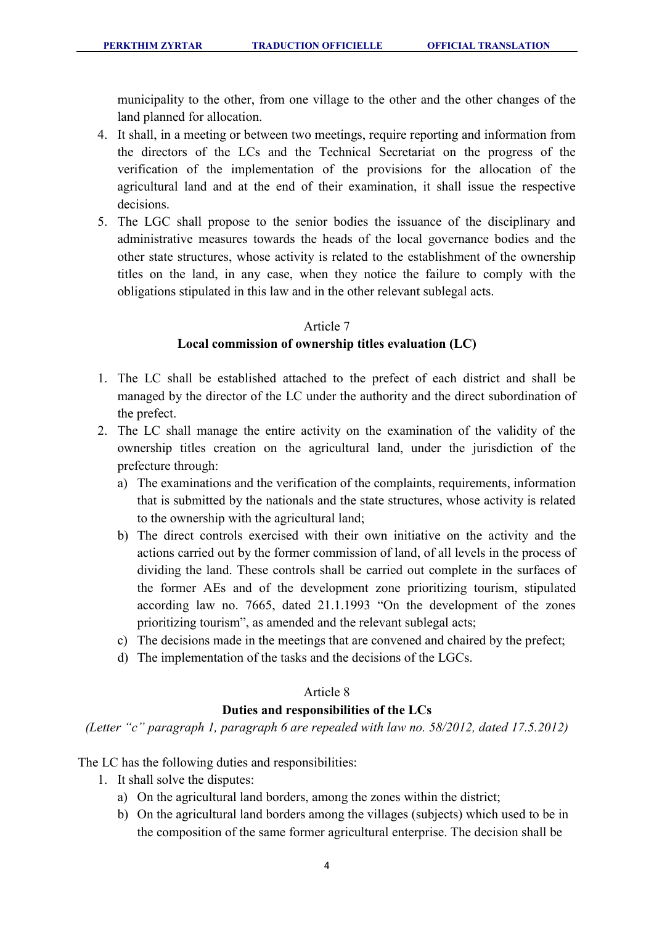municipality to the other, from one village to the other and the other changes of the land planned for allocation.

- 4. It shall, in a meeting or between two meetings, require reporting and information from the directors of the LCs and the Technical Secretariat on the progress of the verification of the implementation of the provisions for the allocation of the agricultural land and at the end of their examination, it shall issue the respective decisions.
- 5. The LGC shall propose to the senior bodies the issuance of the disciplinary and administrative measures towards the heads of the local governance bodies and the other state structures, whose activity is related to the establishment of the ownership titles on the land, in any case, when they notice the failure to comply with the obligations stipulated in this law and in the other relevant sublegal acts.

### Article 7

### **Local commission of ownership titles evaluation (LC)**

- 1. The LC shall be established attached to the prefect of each district and shall be managed by the director of the LC under the authority and the direct subordination of the prefect.
- 2. The LC shall manage the entire activity on the examination of the validity of the ownership titles creation on the agricultural land, under the jurisdiction of the prefecture through:
	- a) The examinations and the verification of the complaints, requirements, information that is submitted by the nationals and the state structures, whose activity is related to the ownership with the agricultural land;
	- b) The direct controls exercised with their own initiative on the activity and the actions carried out by the former commission of land, of all levels in the process of dividing the land. These controls shall be carried out complete in the surfaces of the former AEs and of the development zone prioritizing tourism, stipulated according law no. 7665, dated 21.1.1993 "On the development of the zones prioritizing tourism", as amended and the relevant sublegal acts;
	- c) The decisions made in the meetings that are convened and chaired by the prefect;
	- d) The implementation of the tasks and the decisions of the LGCs.

## Article 8

## **Duties and responsibilities of the LCs**

*(Letter "c" paragraph 1, paragraph 6 are repealed with law no. 58/2012, dated 17.5.2012)*

The LC has the following duties and responsibilities:

- 1. It shall solve the disputes:
	- a) On the agricultural land borders, among the zones within the district;
	- b) On the agricultural land borders among the villages (subjects) which used to be in the composition of the same former agricultural enterprise. The decision shall be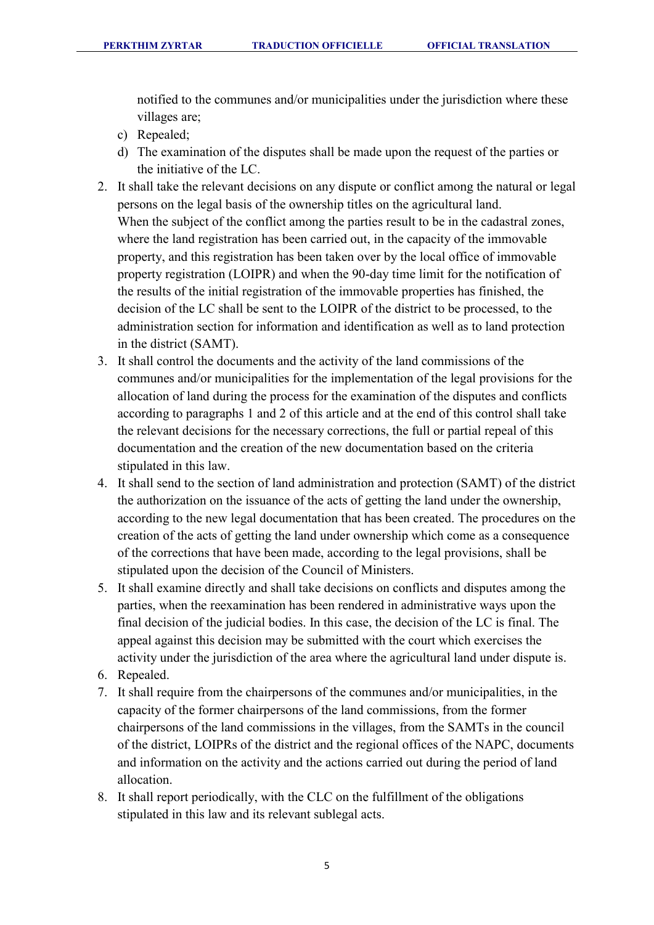notified to the communes and/or municipalities under the jurisdiction where these villages are;

- c) Repealed;
- d) The examination of the disputes shall be made upon the request of the parties or the initiative of the LC.
- 2. It shall take the relevant decisions on any dispute or conflict among the natural or legal persons on the legal basis of the ownership titles on the agricultural land. When the subject of the conflict among the parties result to be in the cadastral zones, where the land registration has been carried out, in the capacity of the immovable property, and this registration has been taken over by the local office of immovable property registration (LOIPR) and when the 90-day time limit for the notification of the results of the initial registration of the immovable properties has finished, the decision of the LC shall be sent to the LOIPR of the district to be processed, to the administration section for information and identification as well as to land protection in the district (SAMT).
- 3. It shall control the documents and the activity of the land commissions of the communes and/or municipalities for the implementation of the legal provisions for the allocation of land during the process for the examination of the disputes and conflicts according to paragraphs 1 and 2 of this article and at the end of this control shall take the relevant decisions for the necessary corrections, the full or partial repeal of this documentation and the creation of the new documentation based on the criteria stipulated in this law.
- 4. It shall send to the section of land administration and protection (SAMT) of the district the authorization on the issuance of the acts of getting the land under the ownership, according to the new legal documentation that has been created. The procedures on the creation of the acts of getting the land under ownership which come as a consequence of the corrections that have been made, according to the legal provisions, shall be stipulated upon the decision of the Council of Ministers.
- 5. It shall examine directly and shall take decisions on conflicts and disputes among the parties, when the reexamination has been rendered in administrative ways upon the final decision of the judicial bodies. In this case, the decision of the LC is final. The appeal against this decision may be submitted with the court which exercises the activity under the jurisdiction of the area where the agricultural land under dispute is.
- 6. Repealed.
- 7. It shall require from the chairpersons of the communes and/or municipalities, in the capacity of the former chairpersons of the land commissions, from the former chairpersons of the land commissions in the villages, from the SAMTs in the council of the district, LOIPRs of the district and the regional offices of the NAPC, documents and information on the activity and the actions carried out during the period of land allocation.
- 8. It shall report periodically, with the CLC on the fulfillment of the obligations stipulated in this law and its relevant sublegal acts.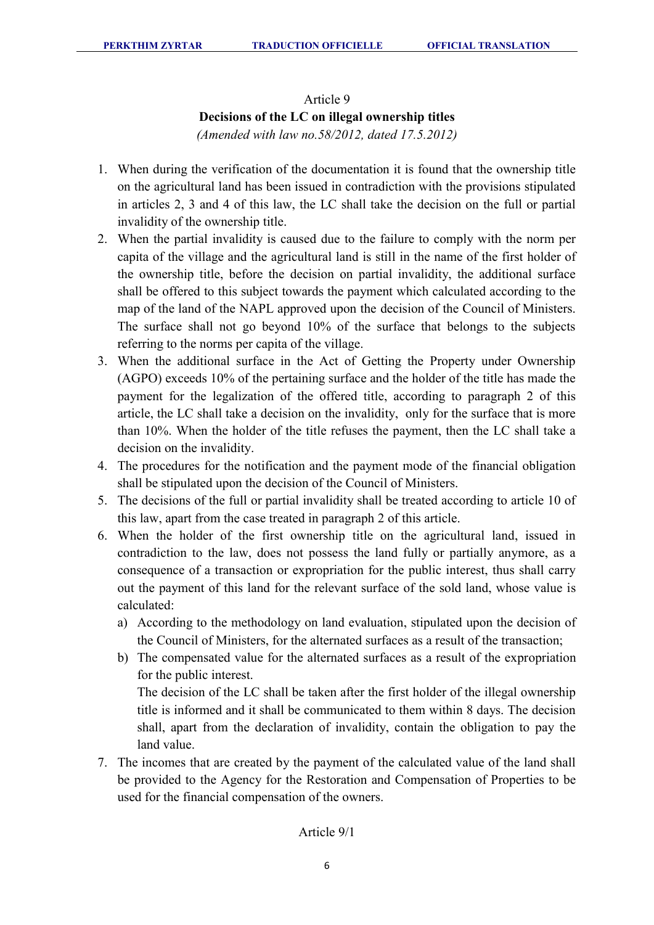#### Article 9

### **Decisions of the LC on illegal ownership titles**

*(Amended with law no.58/2012, dated 17.5.2012)* 

- 1. When during the verification of the documentation it is found that the ownership title on the agricultural land has been issued in contradiction with the provisions stipulated in articles 2, 3 and 4 of this law, the LC shall take the decision on the full or partial invalidity of the ownership title.
- 2. When the partial invalidity is caused due to the failure to comply with the norm per capita of the village and the agricultural land is still in the name of the first holder of the ownership title, before the decision on partial invalidity, the additional surface shall be offered to this subject towards the payment which calculated according to the map of the land of the NAPL approved upon the decision of the Council of Ministers. The surface shall not go beyond 10% of the surface that belongs to the subjects referring to the norms per capita of the village.
- 3. When the additional surface in the Act of Getting the Property under Ownership (AGPO) exceeds 10% of the pertaining surface and the holder of the title has made the payment for the legalization of the offered title, according to paragraph 2 of this article, the LC shall take a decision on the invalidity, only for the surface that is more than 10%. When the holder of the title refuses the payment, then the LC shall take a decision on the invalidity.
- 4. The procedures for the notification and the payment mode of the financial obligation shall be stipulated upon the decision of the Council of Ministers.
- 5. The decisions of the full or partial invalidity shall be treated according to article 10 of this law, apart from the case treated in paragraph 2 of this article.
- 6. When the holder of the first ownership title on the agricultural land, issued in contradiction to the law, does not possess the land fully or partially anymore, as a consequence of a transaction or expropriation for the public interest, thus shall carry out the payment of this land for the relevant surface of the sold land, whose value is calculated:
	- a) According to the methodology on land evaluation, stipulated upon the decision of the Council of Ministers, for the alternated surfaces as a result of the transaction;
	- b) The compensated value for the alternated surfaces as a result of the expropriation for the public interest.

The decision of the LC shall be taken after the first holder of the illegal ownership title is informed and it shall be communicated to them within 8 days. The decision shall, apart from the declaration of invalidity, contain the obligation to pay the land value.

7. The incomes that are created by the payment of the calculated value of the land shall be provided to the Agency for the Restoration and Compensation of Properties to be used for the financial compensation of the owners.

### Article 9/1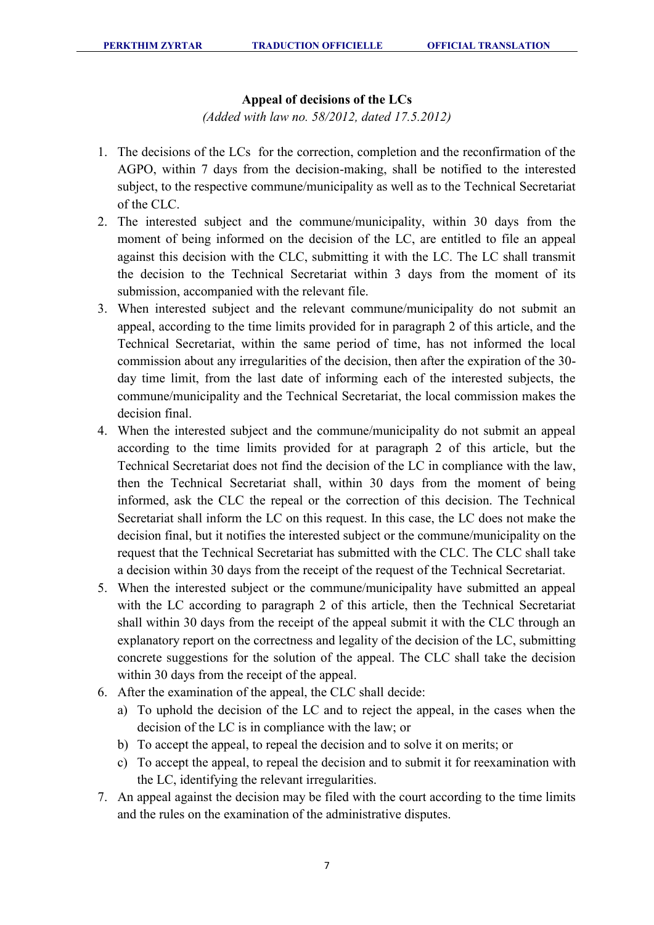### **Appeal of decisions of the LCs**

*(Added with law no. 58/2012, dated 17.5.2012)* 

- 1. The decisions of the LCs for the correction, completion and the reconfirmation of the AGPO, within 7 days from the decision-making, shall be notified to the interested subject, to the respective commune/municipality as well as to the Technical Secretariat of the CLC.
- 2. The interested subject and the commune/municipality, within 30 days from the moment of being informed on the decision of the LC, are entitled to file an appeal against this decision with the CLC, submitting it with the LC. The LC shall transmit the decision to the Technical Secretariat within 3 days from the moment of its submission, accompanied with the relevant file.
- 3. When interested subject and the relevant commune/municipality do not submit an appeal, according to the time limits provided for in paragraph 2 of this article, and the Technical Secretariat, within the same period of time, has not informed the local commission about any irregularities of the decision, then after the expiration of the 30 day time limit, from the last date of informing each of the interested subjects, the commune/municipality and the Technical Secretariat, the local commission makes the decision final.
- 4. When the interested subject and the commune/municipality do not submit an appeal according to the time limits provided for at paragraph 2 of this article, but the Technical Secretariat does not find the decision of the LC in compliance with the law, then the Technical Secretariat shall, within 30 days from the moment of being informed, ask the CLC the repeal or the correction of this decision. The Technical Secretariat shall inform the LC on this request. In this case, the LC does not make the decision final, but it notifies the interested subject or the commune/municipality on the request that the Technical Secretariat has submitted with the CLC. The CLC shall take a decision within 30 days from the receipt of the request of the Technical Secretariat.
- 5. When the interested subject or the commune/municipality have submitted an appeal with the LC according to paragraph 2 of this article, then the Technical Secretariat shall within 30 days from the receipt of the appeal submit it with the CLC through an explanatory report on the correctness and legality of the decision of the LC, submitting concrete suggestions for the solution of the appeal. The CLC shall take the decision within 30 days from the receipt of the appeal.
- 6. After the examination of the appeal, the CLC shall decide:
	- a) To uphold the decision of the LC and to reject the appeal, in the cases when the decision of the LC is in compliance with the law; or
	- b) To accept the appeal, to repeal the decision and to solve it on merits; or
	- c) To accept the appeal, to repeal the decision and to submit it for reexamination with the LC, identifying the relevant irregularities.
- 7. An appeal against the decision may be filed with the court according to the time limits and the rules on the examination of the administrative disputes.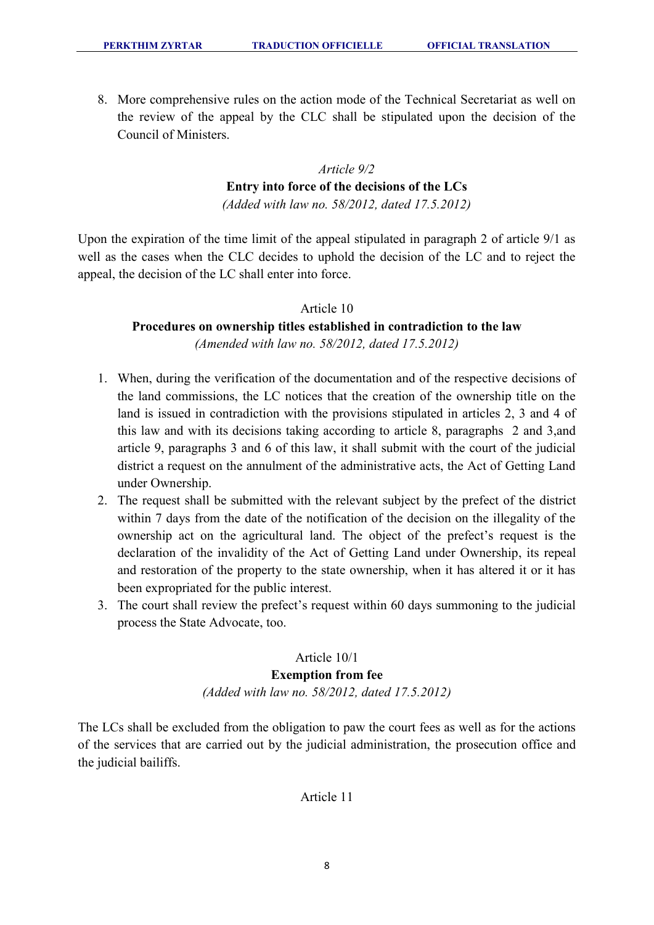8. More comprehensive rules on the action mode of the Technical Secretariat as well on the review of the appeal by the CLC shall be stipulated upon the decision of the Council of Ministers.

# *Article 9/2*  **Entry into force of the decisions of the LCs**

*(Added with law no. 58/2012, dated 17.5.2012)* 

Upon the expiration of the time limit of the appeal stipulated in paragraph 2 of article 9/1 as well as the cases when the CLC decides to uphold the decision of the LC and to reject the appeal, the decision of the LC shall enter into force.

### Article 10

# **Procedures on ownership titles established in contradiction to the law**

*(Amended with law no. 58/2012, dated 17.5.2012)* 

- 1. When, during the verification of the documentation and of the respective decisions of the land commissions, the LC notices that the creation of the ownership title on the land is issued in contradiction with the provisions stipulated in articles 2, 3 and 4 of this law and with its decisions taking according to article 8, paragraphs 2 and 3,and article 9, paragraphs 3 and 6 of this law, it shall submit with the court of the judicial district a request on the annulment of the administrative acts, the Act of Getting Land under Ownership.
- 2. The request shall be submitted with the relevant subject by the prefect of the district within 7 days from the date of the notification of the decision on the illegality of the ownership act on the agricultural land. The object of the prefect's request is the declaration of the invalidity of the Act of Getting Land under Ownership, its repeal and restoration of the property to the state ownership, when it has altered it or it has been expropriated for the public interest.
- 3. The court shall review the prefect's request within 60 days summoning to the judicial process the State Advocate, too.

## Article 10/1

### **Exemption from fee**  *(Added with law no. 58/2012, dated 17.5.2012)*

The LCs shall be excluded from the obligation to paw the court fees as well as for the actions of the services that are carried out by the judicial administration, the prosecution office and the judicial bailiffs.

### Article 11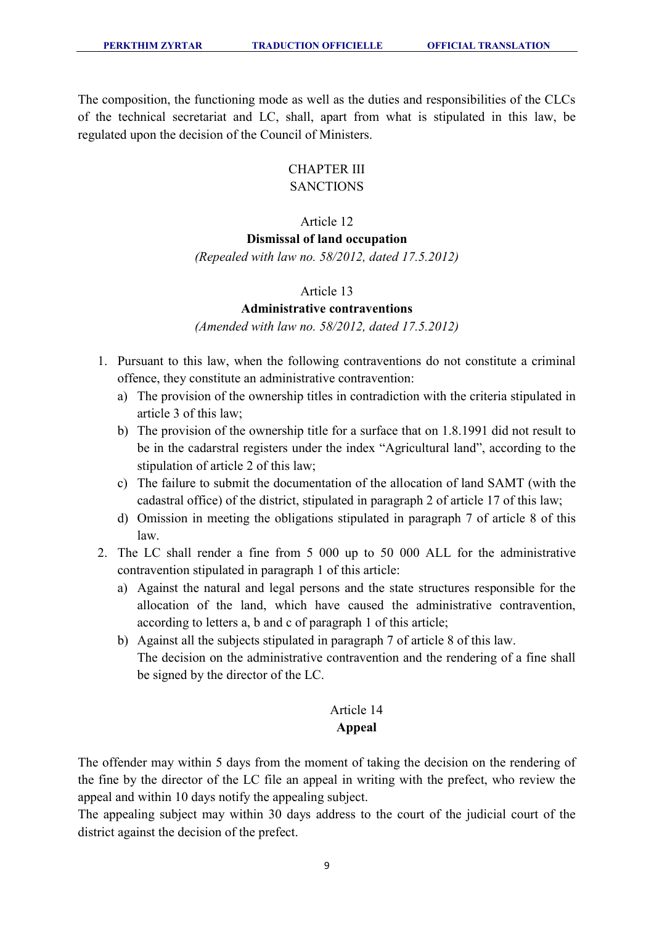The composition, the functioning mode as well as the duties and responsibilities of the CLCs of the technical secretariat and LC, shall, apart from what is stipulated in this law, be regulated upon the decision of the Council of Ministers.

### CHAPTER III **SANCTIONS**

# Article 12

# **Dismissal of land occupation**

*(Repealed with law no. 58/2012, dated 17.5.2012)* 

### Article 13

### **Administrative contraventions**

*(Amended with law no. 58/2012, dated 17.5.2012)* 

- 1. Pursuant to this law, when the following contraventions do not constitute a criminal offence, they constitute an administrative contravention:
	- a) The provision of the ownership titles in contradiction with the criteria stipulated in article 3 of this law;
	- b) The provision of the ownership title for a surface that on 1.8.1991 did not result to be in the cadarstral registers under the index "Agricultural land", according to the stipulation of article 2 of this law;
	- c) The failure to submit the documentation of the allocation of land SAMT (with the cadastral office) of the district, stipulated in paragraph 2 of article 17 of this law;
	- d) Omission in meeting the obligations stipulated in paragraph 7 of article 8 of this law.
- 2. The LC shall render a fine from 5 000 up to 50 000 ALL for the administrative contravention stipulated in paragraph 1 of this article:
	- a) Against the natural and legal persons and the state structures responsible for the allocation of the land, which have caused the administrative contravention, according to letters a, b and c of paragraph 1 of this article;
	- b) Against all the subjects stipulated in paragraph 7 of article 8 of this law. The decision on the administrative contravention and the rendering of a fine shall be signed by the director of the LC.

# Article 14 **Appeal**

The offender may within 5 days from the moment of taking the decision on the rendering of the fine by the director of the LC file an appeal in writing with the prefect, who review the appeal and within 10 days notify the appealing subject.

The appealing subject may within 30 days address to the court of the judicial court of the district against the decision of the prefect.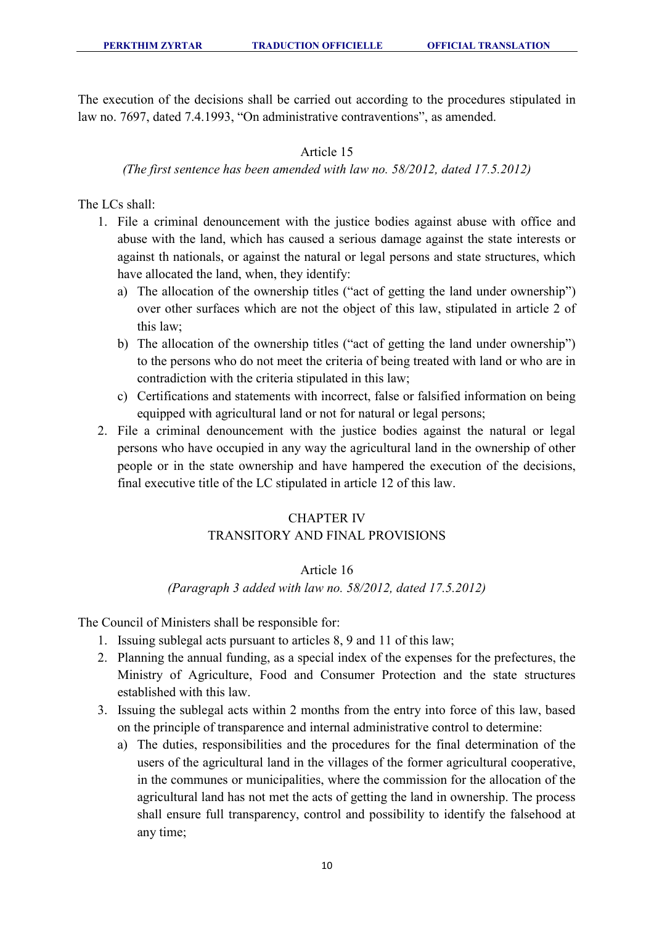The execution of the decisions shall be carried out according to the procedures stipulated in law no. 7697, dated 7.4.1993, "On administrative contraventions", as amended.

### Article 15

### *(The first sentence has been amended with law no. 58/2012, dated 17.5.2012)*

The LCs shall:

- 1. File a criminal denouncement with the justice bodies against abuse with office and abuse with the land, which has caused a serious damage against the state interests or against th nationals, or against the natural or legal persons and state structures, which have allocated the land, when, they identify:
	- a) The allocation of the ownership titles ("act of getting the land under ownership") over other surfaces which are not the object of this law, stipulated in article 2 of this law;
	- b) The allocation of the ownership titles ("act of getting the land under ownership") to the persons who do not meet the criteria of being treated with land or who are in contradiction with the criteria stipulated in this law;
	- c) Certifications and statements with incorrect, false or falsified information on being equipped with agricultural land or not for natural or legal persons;
- 2. File a criminal denouncement with the justice bodies against the natural or legal persons who have occupied in any way the agricultural land in the ownership of other people or in the state ownership and have hampered the execution of the decisions, final executive title of the LC stipulated in article 12 of this law.

# CHAPTER IV TRANSITORY AND FINAL PROVISIONS

### Article 16

*(Paragraph 3 added with law no. 58/2012, dated 17.5.2012)*

The Council of Ministers shall be responsible for:

- 1. Issuing sublegal acts pursuant to articles 8, 9 and 11 of this law;
- 2. Planning the annual funding, as a special index of the expenses for the prefectures, the Ministry of Agriculture, Food and Consumer Protection and the state structures established with this law.
- 3. Issuing the sublegal acts within 2 months from the entry into force of this law, based on the principle of transparence and internal administrative control to determine:
	- a) The duties, responsibilities and the procedures for the final determination of the users of the agricultural land in the villages of the former agricultural cooperative, in the communes or municipalities, where the commission for the allocation of the agricultural land has not met the acts of getting the land in ownership. The process shall ensure full transparency, control and possibility to identify the falsehood at any time;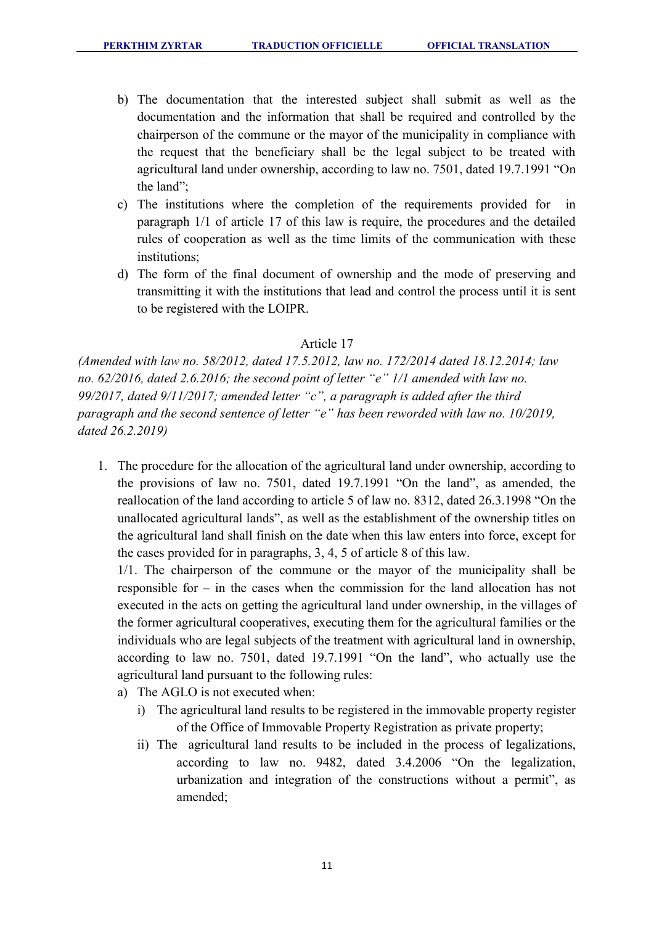- b) The documentation that the interested subject shall submit as well as the documentation and the information that shall be required and controlled by the chairperson of the commune or the mayor of the municipality in compliance with the request that the beneficiary shall be the legal subject to be treated with agricultural land under ownership, according to law no. 7501, dated 19.7.1991 "On the land";
- c) The institutions where the completion of the requirements provided for in paragraph 1/1 of article 17 of this law is require, the procedures and the detailed rules of cooperation as well as the time limits of the communication with these institutions;
- d) The form of the final document of ownership and the mode of preserving and transmitting it with the institutions that lead and control the process until it is sent to be registered with the LOIPR.

### Article 17

*(Amended with law no. 58/2012, dated 17.5.2012, law no. 172/2014 dated 18.12.2014; law no. 62/2016, dated 2.6.2016; the second point of letter "e" 1/1 amended with law no. 99/2017, dated 9/11/2017; amended letter "c", a paragraph is added after the third paragraph and the second sentence of letter "e" has been reworded with law no. 10/2019, dated 26.2.2019)* 

1. The procedure for the allocation of the agricultural land under ownership, according to the provisions of law no. 7501, dated 19.7.1991 "On the land", as amended, the reallocation of the land according to article 5 of law no. 8312, dated 26.3.1998 "On the unallocated agricultural lands", as well as the establishment of the ownership titles on the agricultural land shall finish on the date when this law enters into force, except for the cases provided for in paragraphs, 3, 4, 5 of article 8 of this law.

1/1. The chairperson of the commune or the mayor of the municipality shall be responsible for – in the cases when the commission for the land allocation has not executed in the acts on getting the agricultural land under ownership, in the villages of the former agricultural cooperatives, executing them for the agricultural families or the individuals who are legal subjects of the treatment with agricultural land in ownership, according to law no. 7501, dated 19.7.1991 "On the land", who actually use the agricultural land pursuant to the following rules:

- a) The AGLO is not executed when:
	- i) The agricultural land results to be registered in the immovable property register of the Office of Immovable Property Registration as private property;
	- ii) The agricultural land results to be included in the process of legalizations, according to law no. 9482, dated 3.4.2006 "On the legalization, urbanization and integration of the constructions without a permit", as amended;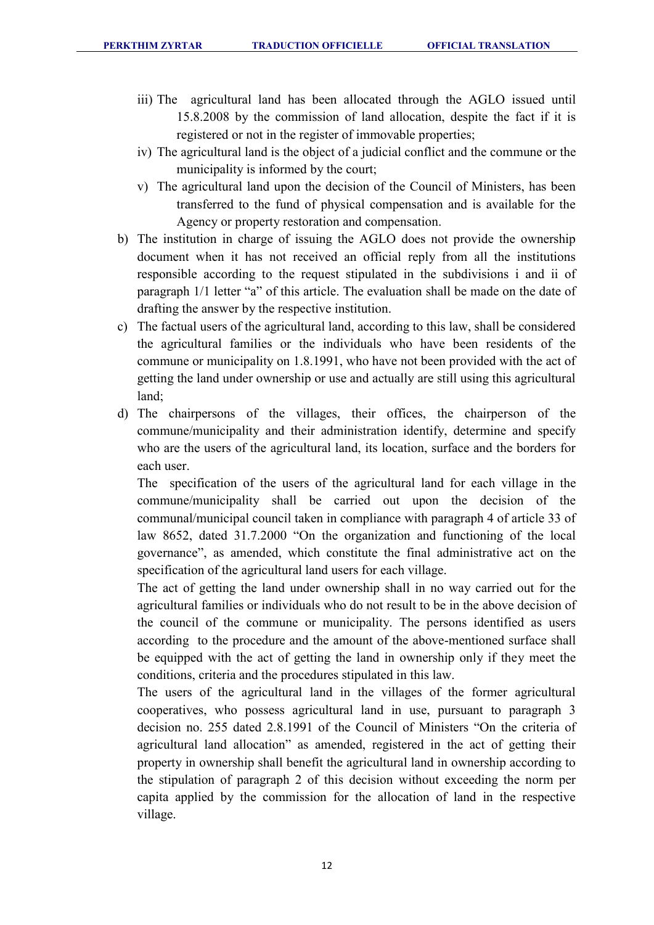- iii) The agricultural land has been allocated through the AGLO issued until 15.8.2008 by the commission of land allocation, despite the fact if it is registered or not in the register of immovable properties;
- iv) The agricultural land is the object of a judicial conflict and the commune or the municipality is informed by the court;
- v) The agricultural land upon the decision of the Council of Ministers, has been transferred to the fund of physical compensation and is available for the Agency or property restoration and compensation.
- b) The institution in charge of issuing the AGLO does not provide the ownership document when it has not received an official reply from all the institutions responsible according to the request stipulated in the subdivisions i and ii of paragraph 1/1 letter "a" of this article. The evaluation shall be made on the date of drafting the answer by the respective institution.
- c) The factual users of the agricultural land, according to this law, shall be considered the agricultural families or the individuals who have been residents of the commune or municipality on 1.8.1991, who have not been provided with the act of getting the land under ownership or use and actually are still using this agricultural land;
- d) The chairpersons of the villages, their offices, the chairperson of the commune/municipality and their administration identify, determine and specify who are the users of the agricultural land, its location, surface and the borders for each user.

The specification of the users of the agricultural land for each village in the commune/municipality shall be carried out upon the decision of the communal/municipal council taken in compliance with paragraph 4 of article 33 of law 8652, dated 31.7.2000 "On the organization and functioning of the local governance", as amended, which constitute the final administrative act on the specification of the agricultural land users for each village.

The act of getting the land under ownership shall in no way carried out for the agricultural families or individuals who do not result to be in the above decision of the council of the commune or municipality. The persons identified as users according to the procedure and the amount of the above-mentioned surface shall be equipped with the act of getting the land in ownership only if they meet the conditions, criteria and the procedures stipulated in this law.

The users of the agricultural land in the villages of the former agricultural cooperatives, who possess agricultural land in use, pursuant to paragraph 3 decision no. 255 dated 2.8.1991 of the Council of Ministers "On the criteria of agricultural land allocation" as amended, registered in the act of getting their property in ownership shall benefit the agricultural land in ownership according to the stipulation of paragraph 2 of this decision without exceeding the norm per capita applied by the commission for the allocation of land in the respective village.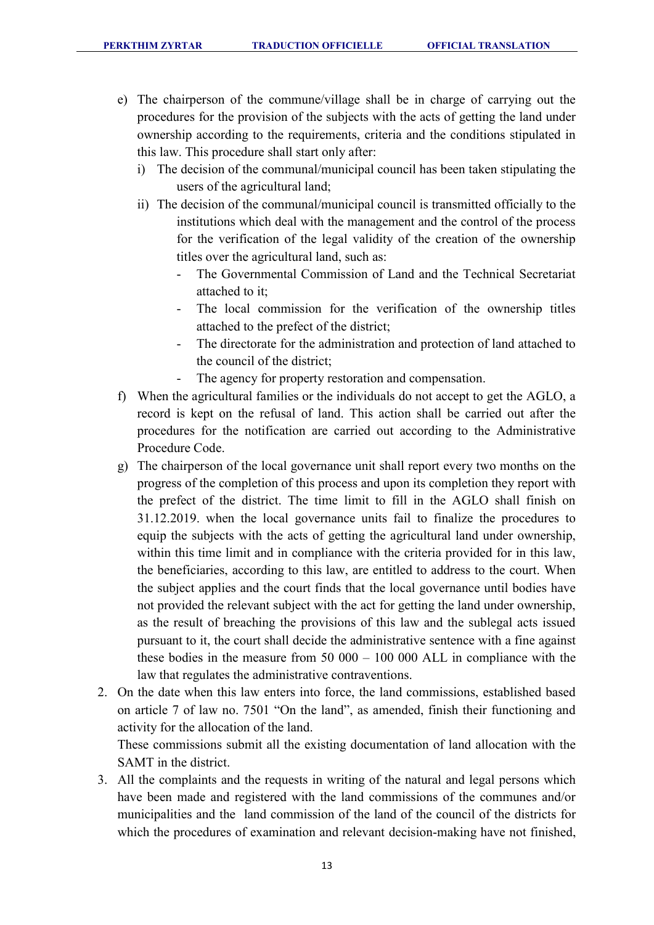- e) The chairperson of the commune/village shall be in charge of carrying out the procedures for the provision of the subjects with the acts of getting the land under ownership according to the requirements, criteria and the conditions stipulated in this law. This procedure shall start only after:
	- i) The decision of the communal/municipal council has been taken stipulating the users of the agricultural land;
	- ii) The decision of the communal/municipal council is transmitted officially to the institutions which deal with the management and the control of the process for the verification of the legal validity of the creation of the ownership titles over the agricultural land, such as:
		- The Governmental Commission of Land and the Technical Secretariat attached to it;
		- The local commission for the verification of the ownership titles attached to the prefect of the district;
		- The directorate for the administration and protection of land attached to the council of the district;
		- The agency for property restoration and compensation.
- f) When the agricultural families or the individuals do not accept to get the AGLO, a record is kept on the refusal of land. This action shall be carried out after the procedures for the notification are carried out according to the Administrative Procedure Code.
- g) The chairperson of the local governance unit shall report every two months on the progress of the completion of this process and upon its completion they report with the prefect of the district. The time limit to fill in the AGLO shall finish on 31.12.2019. when the local governance units fail to finalize the procedures to equip the subjects with the acts of getting the agricultural land under ownership, within this time limit and in compliance with the criteria provided for in this law, the beneficiaries, according to this law, are entitled to address to the court. When the subject applies and the court finds that the local governance until bodies have not provided the relevant subject with the act for getting the land under ownership, as the result of breaching the provisions of this law and the sublegal acts issued pursuant to it, the court shall decide the administrative sentence with a fine against these bodies in the measure from 50 000 – 100 000 ALL in compliance with the law that regulates the administrative contraventions.
- 2. On the date when this law enters into force, the land commissions, established based on article 7 of law no. 7501 "On the land", as amended, finish their functioning and activity for the allocation of the land. These commissions submit all the existing documentation of land allocation with the SAMT in the district.
- 3. All the complaints and the requests in writing of the natural and legal persons which have been made and registered with the land commissions of the communes and/or municipalities and the land commission of the land of the council of the districts for which the procedures of examination and relevant decision-making have not finished,